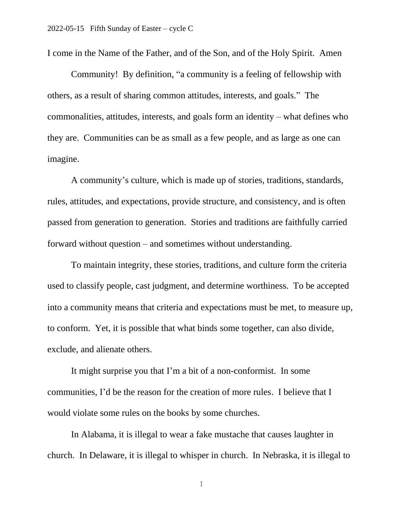I come in the Name of the Father, and of the Son, and of the Holy Spirit. Amen

Community! By definition, "a community is a feeling of fellowship with others, as a result of sharing common attitudes, interests, and goals." The commonalities, attitudes, interests, and goals form an identity – what defines who they are. Communities can be as small as a few people, and as large as one can imagine.

A community's culture, which is made up of stories, traditions, standards, rules, attitudes, and expectations, provide structure, and consistency, and is often passed from generation to generation. Stories and traditions are faithfully carried forward without question – and sometimes without understanding.

To maintain integrity, these stories, traditions, and culture form the criteria used to classify people, cast judgment, and determine worthiness. To be accepted into a community means that criteria and expectations must be met, to measure up, to conform. Yet, it is possible that what binds some together, can also divide, exclude, and alienate others.

It might surprise you that I'm a bit of a non-conformist. In some communities, I'd be the reason for the creation of more rules. I believe that I would violate some rules on the books by some churches.

In Alabama, it is illegal to wear a fake mustache that causes laughter in church. In Delaware, it is illegal to whisper in church. In Nebraska, it is illegal to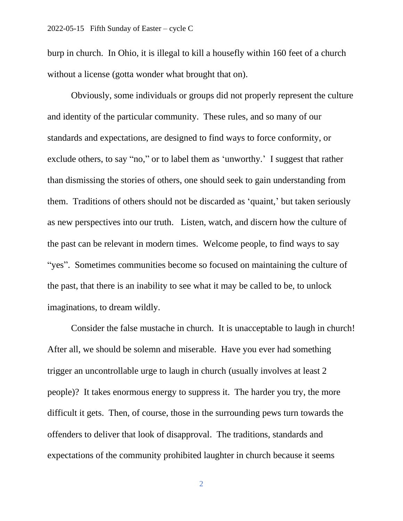burp in church. In Ohio, it is illegal to kill a housefly within 160 feet of a church without a license (gotta wonder what brought that on).

Obviously, some individuals or groups did not properly represent the culture and identity of the particular community. These rules, and so many of our standards and expectations, are designed to find ways to force conformity, or exclude others, to say "no," or to label them as 'unworthy.' I suggest that rather than dismissing the stories of others, one should seek to gain understanding from them. Traditions of others should not be discarded as 'quaint,' but taken seriously as new perspectives into our truth. Listen, watch, and discern how the culture of the past can be relevant in modern times. Welcome people, to find ways to say "yes". Sometimes communities become so focused on maintaining the culture of the past, that there is an inability to see what it may be called to be, to unlock imaginations, to dream wildly.

Consider the false mustache in church. It is unacceptable to laugh in church! After all, we should be solemn and miserable. Have you ever had something trigger an uncontrollable urge to laugh in church (usually involves at least 2 people)? It takes enormous energy to suppress it. The harder you try, the more difficult it gets. Then, of course, those in the surrounding pews turn towards the offenders to deliver that look of disapproval. The traditions, standards and expectations of the community prohibited laughter in church because it seems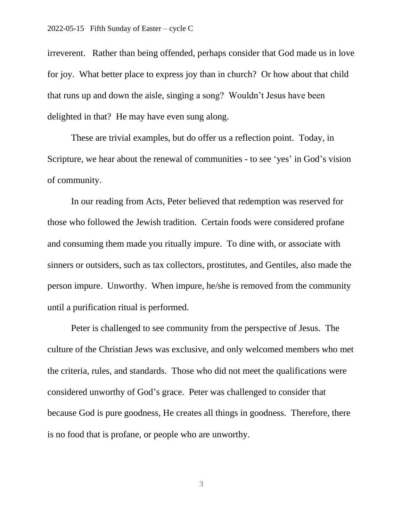irreverent. Rather than being offended, perhaps consider that God made us in love for joy. What better place to express joy than in church? Or how about that child that runs up and down the aisle, singing a song? Wouldn't Jesus have been delighted in that? He may have even sung along.

These are trivial examples, but do offer us a reflection point. Today, in Scripture, we hear about the renewal of communities - to see 'yes' in God's vision of community.

In our reading from Acts, Peter believed that redemption was reserved for those who followed the Jewish tradition. Certain foods were considered profane and consuming them made you ritually impure. To dine with, or associate with sinners or outsiders, such as tax collectors, prostitutes, and Gentiles, also made the person impure. Unworthy. When impure, he/she is removed from the community until a purification ritual is performed.

Peter is challenged to see community from the perspective of Jesus. The culture of the Christian Jews was exclusive, and only welcomed members who met the criteria, rules, and standards. Those who did not meet the qualifications were considered unworthy of God's grace. Peter was challenged to consider that because God is pure goodness, He creates all things in goodness. Therefore, there is no food that is profane, or people who are unworthy.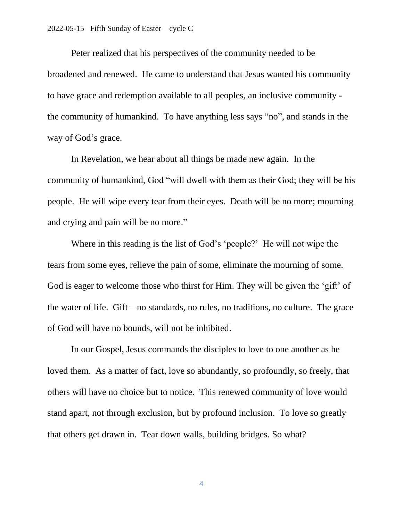Peter realized that his perspectives of the community needed to be broadened and renewed. He came to understand that Jesus wanted his community to have grace and redemption available to all peoples, an inclusive community the community of humankind. To have anything less says "no", and stands in the way of God's grace.

In Revelation, we hear about all things be made new again. In the community of humankind, God "will dwell with them as their God; they will be his people. He will wipe every tear from their eyes. Death will be no more; mourning and crying and pain will be no more."

Where in this reading is the list of God's 'people?' He will not wipe the tears from some eyes, relieve the pain of some, eliminate the mourning of some. God is eager to welcome those who thirst for Him. They will be given the 'gift' of the water of life. Gift – no standards, no rules, no traditions, no culture. The grace of God will have no bounds, will not be inhibited.

In our Gospel, Jesus commands the disciples to love to one another as he loved them. As a matter of fact, love so abundantly, so profoundly, so freely, that others will have no choice but to notice. This renewed community of love would stand apart, not through exclusion, but by profound inclusion. To love so greatly that others get drawn in. Tear down walls, building bridges. So what?